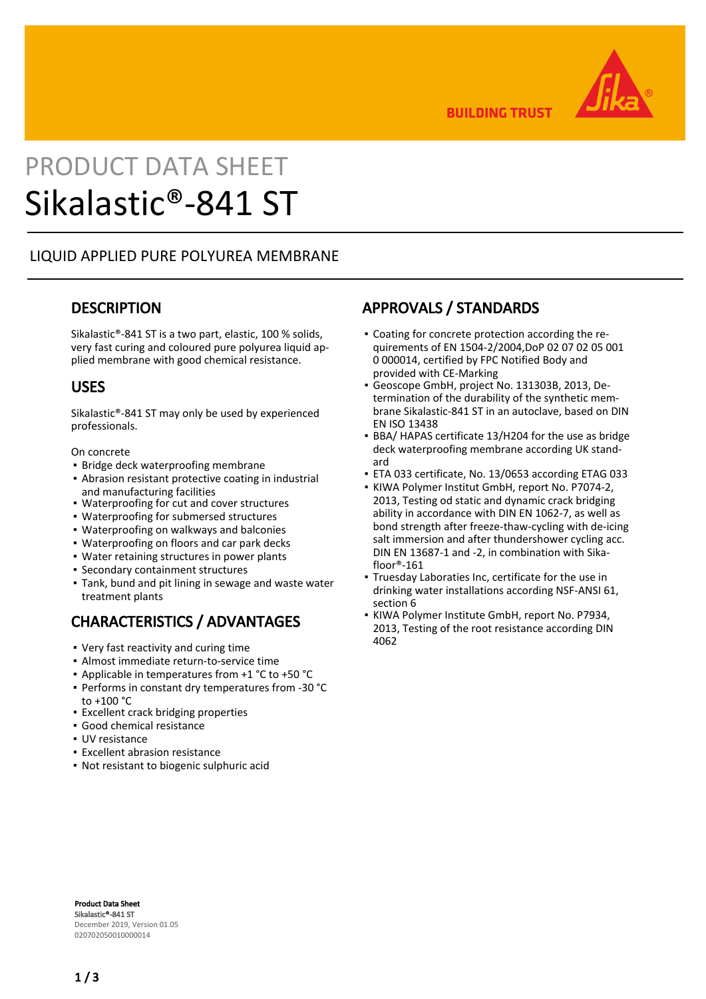

**BUILDING TRUST** 

# PRODUCT DATA SHEET Sikalastic®-841 ST

#### LIQUID APPLIED PURE POLYUREA MEMBRANE

#### **DESCRIPTION**

Sikalastic®-841 ST is a two part, elastic, 100 % solids, very fast curing and coloured pure polyurea liquid applied membrane with good chemical resistance.

#### USES

Sikalastic®-841 ST may only be used by experienced professionals.

On concrete

- **· Bridge deck waterproofing membrane**
- **-** Abrasion resistant protective coating in industrial and manufacturing facilities
- Waterproofing for cut and cover structures
- Waterproofing for submersed structures
- Waterproofing on walkways and balconies
- Waterproofing on floors and car park decks
- Water retaining structures in power plants
- Secondary containment structures
- Tank, bund and pit lining in sewage and waste water treatment plants

# CHARACTERISTICS / ADVANTAGES

- Very fast reactivity and curing time
- Almost immediate return-to-service time
- Applicable in temperatures from +1 °C to +50 °C
- Performs in constant dry temperatures from -30 °C to +100 °C
- Excellent crack bridging properties
- Good chemical resistance
- UV resistance
- Excellent abrasion resistance
- Not resistant to biogenic sulphuric acid

## APPROVALS / STANDARDS

- Coating for concrete protection according the re-▪ quirements of EN 1504-2/2004,DoP 02 07 02 05 001 0 000014, certified by FPC Notified Body and provided with CE-Marking
- Geoscope GmbH, project No. 131303B, 2013, Determination of the durability of the synthetic membrane Sikalastic-841 ST in an autoclave, based on DIN EN ISO 13438 ▪
- BBA/ HAPAS certificate 13/H204 for the use as bridge deck waterproofing membrane according UK standard
- ETA 033 certificate, No. 13/0653 according ETAG 033
- KIWA Polymer Institut GmbH, report No. P7074-2, 2013, Testing od static and dynamic crack bridging ability in accordance with DIN EN 1062-7, as well as bond strength after freeze-thaw-cycling with de-icing salt immersion and after thundershower cycling acc. DIN EN 13687-1 and -2, in combination with Sikafloor®-161
- Truesday Laboraties Inc, certificate for the use in drinking water installations according NSF-ANSI 61, section 6
- KIWA Polymer Institute GmbH, report No. P7934, 2013, Testing of the root resistance according DIN 4062 ▪

Product Data Sheet Sikalastic®-841 ST December 2019, Version 01.05 020702050010000014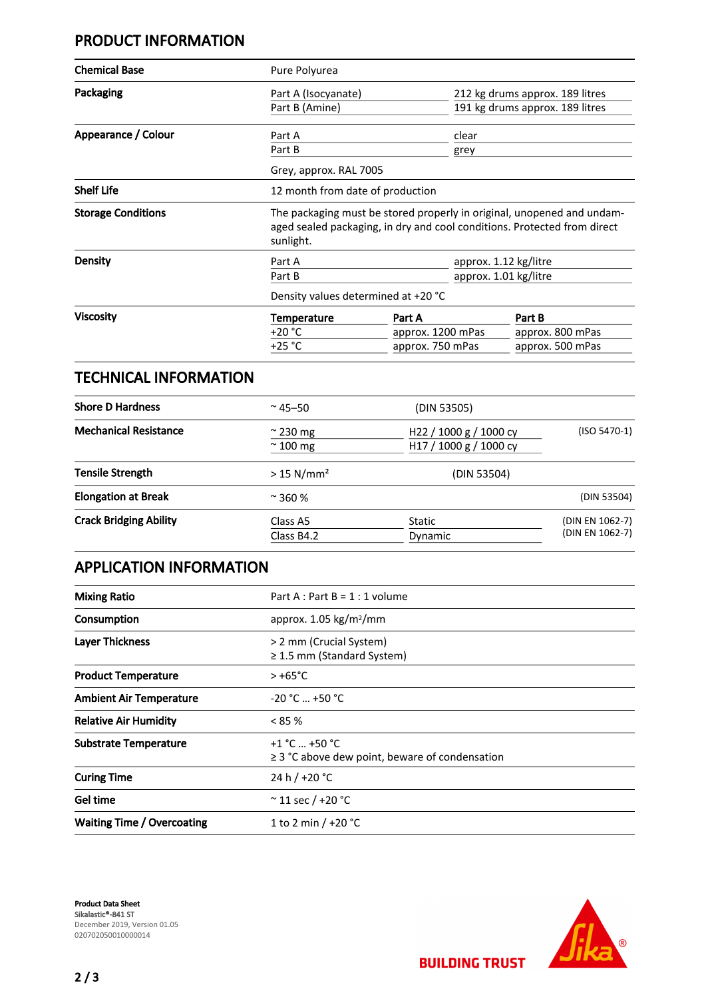# PRODUCT INFORMATION

| <b>Chemical Base</b>      | Pure Polyurea                                                                                                                                                   |                   |                                 |  |
|---------------------------|-----------------------------------------------------------------------------------------------------------------------------------------------------------------|-------------------|---------------------------------|--|
| Packaging                 | Part A (Isocyanate)                                                                                                                                             |                   | 212 kg drums approx. 189 litres |  |
|                           | Part B (Amine)                                                                                                                                                  |                   | 191 kg drums approx. 189 litres |  |
| Appearance / Colour       | Part A                                                                                                                                                          | clear             |                                 |  |
|                           | Part B                                                                                                                                                          | grey              |                                 |  |
|                           | Grey, approx. RAL 7005                                                                                                                                          |                   |                                 |  |
| <b>Shelf Life</b>         | 12 month from date of production                                                                                                                                |                   |                                 |  |
| <b>Storage Conditions</b> | The packaging must be stored properly in original, unopened and undam-<br>aged sealed packaging, in dry and cool conditions. Protected from direct<br>sunlight. |                   |                                 |  |
| Density                   | Part A                                                                                                                                                          |                   | approx. 1.12 kg/litre           |  |
|                           | Part B                                                                                                                                                          |                   | approx. 1.01 kg/litre           |  |
|                           | Density values determined at +20 °C                                                                                                                             |                   |                                 |  |
| <b>Viscosity</b>          | <b>Temperature</b>                                                                                                                                              | Part A            | Part B                          |  |
|                           | +20 °C                                                                                                                                                          | approx. 1200 mPas | approx. 800 mPas                |  |
|                           | $+25 °C$                                                                                                                                                        | approx. 750 mPas  | approx. 500 mPas                |  |

#### TECHNICAL INFORMATION

| <b>Shore D Hardness</b>       | $~^{\circ}$ 45–50                    | (DIN 53505)                                                  |                                    |
|-------------------------------|--------------------------------------|--------------------------------------------------------------|------------------------------------|
| <b>Mechanical Resistance</b>  | $\approx$ 230 mg<br>$\approx$ 100 mg | H <sub>22</sub> / 1000 g / 1000 cy<br>H17 / 1000 g / 1000 cy | $(ISO 5470-1)$                     |
| <b>Tensile Strength</b>       | $> 15$ N/mm <sup>2</sup>             | (DIN 53504)                                                  |                                    |
| <b>Elongation at Break</b>    | $\approx$ 360 %                      |                                                              | (DIN 53504)                        |
| <b>Crack Bridging Ability</b> | Class A5<br>Class B4.2               | Static<br>Dynamic                                            | (DIN EN 1062-7)<br>(DIN EN 1062-7) |

# APPLICATION INFORMATION

| <b>Mixing Ratio</b>               | Part A : Part B = $1:1$ volume                                         |  |
|-----------------------------------|------------------------------------------------------------------------|--|
| Consumption                       | approx. $1.05 \text{ kg/m}^2/\text{mm}$                                |  |
| <b>Layer Thickness</b>            | > 2 mm (Crucial System)<br>$\geq$ 1.5 mm (Standard System)             |  |
| <b>Product Temperature</b>        | $> +65^{\circ}$ C                                                      |  |
| <b>Ambient Air Temperature</b>    | $-20 °C  +50 °C$                                                       |  |
| <b>Relative Air Humidity</b>      | < 85%                                                                  |  |
| <b>Substrate Temperature</b>      | $+1 °C  +50 °C$<br>$\geq$ 3 °C above dew point, beware of condensation |  |
| <b>Curing Time</b>                | 24 h / +20 °C                                                          |  |
| Gel time                          | $\approx$ 11 sec / +20 °C                                              |  |
| <b>Waiting Time / Overcoating</b> | 1 to 2 min $/ +20$ °C                                                  |  |

Product Data Sheet Sikalastic®-841 ST December 2019, Version 01.05 020702050010000014



**BUILDING TRUST**